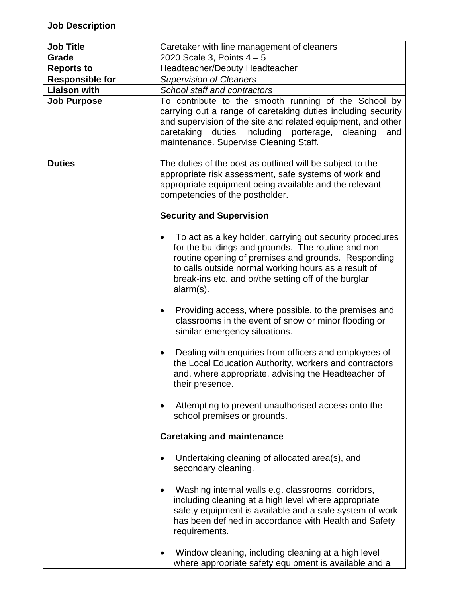| <b>Job Title</b>       | Caretaker with line management of cleaners                                                                                                                                                                                                                                                          |
|------------------------|-----------------------------------------------------------------------------------------------------------------------------------------------------------------------------------------------------------------------------------------------------------------------------------------------------|
| Grade                  | 2020 Scale 3, Points $4 - 5$                                                                                                                                                                                                                                                                        |
| <b>Reports to</b>      | Headteacher/Deputy Headteacher                                                                                                                                                                                                                                                                      |
| <b>Responsible for</b> | <b>Supervision of Cleaners</b>                                                                                                                                                                                                                                                                      |
| <b>Liaison with</b>    | School staff and contractors                                                                                                                                                                                                                                                                        |
| <b>Job Purpose</b>     | To contribute to the smooth running of the School by<br>carrying out a range of caretaking duties including security<br>and supervision of the site and related equipment, and other<br>caretaking<br>duties<br>including porterage,<br>cleaning<br>and<br>maintenance. Supervise Cleaning Staff.   |
| <b>Duties</b>          | The duties of the post as outlined will be subject to the<br>appropriate risk assessment, safe systems of work and<br>appropriate equipment being available and the relevant<br>competencies of the postholder.                                                                                     |
|                        | <b>Security and Supervision</b>                                                                                                                                                                                                                                                                     |
|                        | To act as a key holder, carrying out security procedures<br>for the buildings and grounds. The routine and non-<br>routine opening of premises and grounds. Responding<br>to calls outside normal working hours as a result of<br>break-ins etc. and or/the setting off of the burglar<br>alarm(s). |
|                        | Providing access, where possible, to the premises and<br>$\bullet$<br>classrooms in the event of snow or minor flooding or<br>similar emergency situations.                                                                                                                                         |
|                        | Dealing with enquiries from officers and employees of<br>$\bullet$<br>the Local Education Authority, workers and contractors<br>and, where appropriate, advising the Headteacher of<br>their presence.                                                                                              |
|                        | Attempting to prevent unauthorised access onto the<br>$\bullet$<br>school premises or grounds.                                                                                                                                                                                                      |
|                        | <b>Caretaking and maintenance</b>                                                                                                                                                                                                                                                                   |
|                        | Undertaking cleaning of allocated area(s), and<br>$\bullet$<br>secondary cleaning.                                                                                                                                                                                                                  |
|                        | Washing internal walls e.g. classrooms, corridors,<br>$\bullet$<br>including cleaning at a high level where appropriate<br>safety equipment is available and a safe system of work<br>has been defined in accordance with Health and Safety<br>requirements.                                        |
|                        | Window cleaning, including cleaning at a high level<br>$\bullet$<br>where appropriate safety equipment is available and a                                                                                                                                                                           |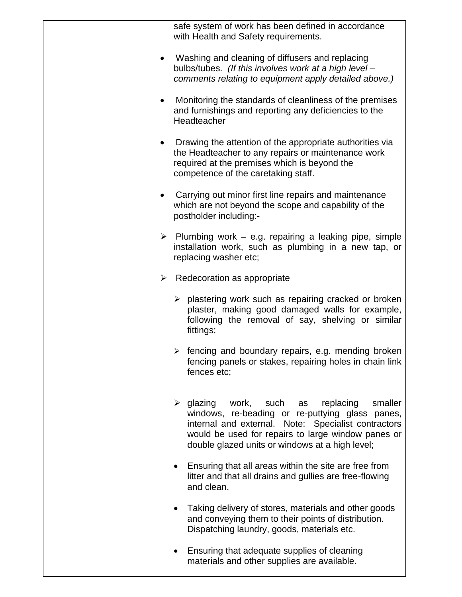| safe system of work has been defined in accordance<br>with Health and Safety requirements.                                                                                                                                                                                                 |
|--------------------------------------------------------------------------------------------------------------------------------------------------------------------------------------------------------------------------------------------------------------------------------------------|
| Washing and cleaning of diffusers and replacing<br>$\bullet$<br>bulbs/tubes. (If this involves work at a high level -<br>comments relating to equipment apply detailed above.)                                                                                                             |
| Monitoring the standards of cleanliness of the premises<br>٠<br>and furnishings and reporting any deficiencies to the<br>Headteacher                                                                                                                                                       |
| Drawing the attention of the appropriate authorities via<br>$\bullet$<br>the Headteacher to any repairs or maintenance work<br>required at the premises which is beyond the<br>competence of the caretaking staff.                                                                         |
| Carrying out minor first line repairs and maintenance<br>$\bullet$<br>which are not beyond the scope and capability of the<br>postholder including:-                                                                                                                                       |
| $\triangleright$ Plumbing work – e.g. repairing a leaking pipe, simple<br>installation work, such as plumbing in a new tap, or<br>replacing washer etc;                                                                                                                                    |
| Redecoration as appropriate<br>➤                                                                                                                                                                                                                                                           |
| $\triangleright$ plastering work such as repairing cracked or broken<br>plaster, making good damaged walls for example,<br>following the removal of say, shelving or similar<br>fittings;                                                                                                  |
| $\triangleright$ fencing and boundary repairs, e.g. mending broken<br>fencing panels or stakes, repairing holes in chain link<br>fences etc:                                                                                                                                               |
| $\triangleright$ glazing<br>work,<br>such<br>replacing<br>smaller<br>as<br>windows, re-beading or re-puttying glass panes,<br>internal and external. Note: Specialist contractors<br>would be used for repairs to large window panes or<br>double glazed units or windows at a high level; |
| Ensuring that all areas within the site are free from<br>litter and that all drains and gullies are free-flowing<br>and clean.                                                                                                                                                             |
| Taking delivery of stores, materials and other goods<br>and conveying them to their points of distribution.<br>Dispatching laundry, goods, materials etc.                                                                                                                                  |
| Ensuring that adequate supplies of cleaning<br>materials and other supplies are available.                                                                                                                                                                                                 |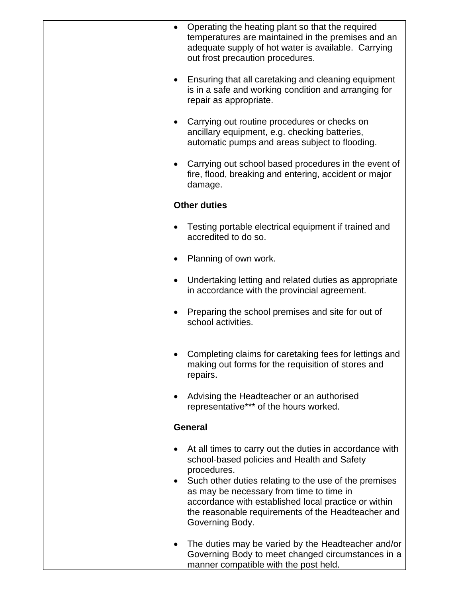| Operating the heating plant so that the required<br>temperatures are maintained in the premises and an<br>adequate supply of hot water is available. Carrying<br>out frost precaution procedures.                                                                                                                                        |
|------------------------------------------------------------------------------------------------------------------------------------------------------------------------------------------------------------------------------------------------------------------------------------------------------------------------------------------|
| Ensuring that all caretaking and cleaning equipment<br>is in a safe and working condition and arranging for<br>repair as appropriate.                                                                                                                                                                                                    |
| Carrying out routine procedures or checks on<br>$\bullet$<br>ancillary equipment, e.g. checking batteries,<br>automatic pumps and areas subject to flooding.                                                                                                                                                                             |
| Carrying out school based procedures in the event of<br>$\bullet$<br>fire, flood, breaking and entering, accident or major<br>damage.                                                                                                                                                                                                    |
| <b>Other duties</b>                                                                                                                                                                                                                                                                                                                      |
| Testing portable electrical equipment if trained and<br>accredited to do so.                                                                                                                                                                                                                                                             |
| Planning of own work.                                                                                                                                                                                                                                                                                                                    |
| Undertaking letting and related duties as appropriate<br>$\bullet$<br>in accordance with the provincial agreement.                                                                                                                                                                                                                       |
| Preparing the school premises and site for out of<br>school activities.                                                                                                                                                                                                                                                                  |
| Completing claims for caretaking fees for lettings and<br>making out forms for the requisition of stores and<br>repairs.                                                                                                                                                                                                                 |
| Advising the Headteacher or an authorised<br>representative*** of the hours worked.                                                                                                                                                                                                                                                      |
| <b>General</b>                                                                                                                                                                                                                                                                                                                           |
| At all times to carry out the duties in accordance with<br>school-based policies and Health and Safety<br>procedures.<br>Such other duties relating to the use of the premises<br>as may be necessary from time to time in<br>accordance with established local practice or within<br>the reasonable requirements of the Headteacher and |
| Governing Body.                                                                                                                                                                                                                                                                                                                          |
| The duties may be varied by the Headteacher and/or<br>Governing Body to meet changed circumstances in a<br>manner compatible with the post held.                                                                                                                                                                                         |